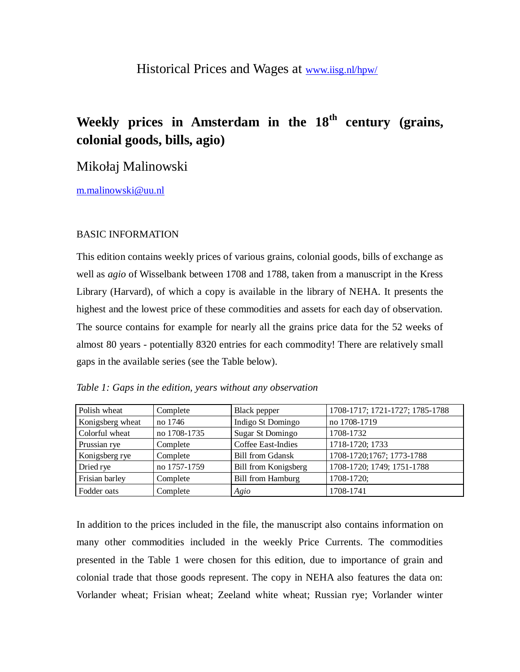## Historical Prices and Wages at [www.iisg.nl/hpw/](http://www.iisg.nl/hpw/)

# **Weekly prices in Amsterdam in the 18th century (grains, colonial goods, bills, agio)**

## Mikołaj Malinowski

[m.malinowski@uu.nl](mailto:m.malinowski@uu.nl)

### BASIC INFORMATION

This edition contains weekly prices of various grains, colonial goods, bills of exchange as well as *agio* of Wisselbank between 1708 and 1788, taken from a manuscript in the Kress Library (Harvard), of which a copy is available in the library of NEHA. It presents the highest and the lowest price of these commodities and assets for each day of observation. The source contains for example for nearly all the grains price data for the 52 weeks of almost 80 years - potentially 8320 entries for each commodity! There are relatively small gaps in the available series (see the Table below).

| Table 1: Gaps in the edition, years without any observation |
|-------------------------------------------------------------|
|-------------------------------------------------------------|

| Polish wheat     | Complete     | Black pepper             | 1708-1717; 1721-1727; 1785-1788 |
|------------------|--------------|--------------------------|---------------------------------|
| Konigsberg wheat | no 1746      | Indigo St Domingo        | no 1708-1719                    |
| Colorful wheat   | no 1708-1735 | <b>Sugar St Domingo</b>  | 1708-1732                       |
| Prussian rye     | Complete     | Coffee East-Indies       | 1718-1720; 1733                 |
| Konigsberg rye   | Complete     | <b>Bill from Gdansk</b>  | 1708-1720;1767; 1773-1788       |
| Dried rye        | no 1757-1759 | Bill from Konigsberg     | 1708-1720; 1749; 1751-1788      |
| Frisian barley   | Complete     | <b>Bill from Hamburg</b> | 1708-1720;                      |
| Fodder oats      | Complete     | Agio                     | 1708-1741                       |

In addition to the prices included in the file, the manuscript also contains information on many other commodities included in the weekly Price Currents. The commodities presented in the Table 1 were chosen for this edition, due to importance of grain and colonial trade that those goods represent. The copy in NEHA also features the data on: Vorlander wheat; Frisian wheat; Zeeland white wheat; Russian rye; Vorlander winter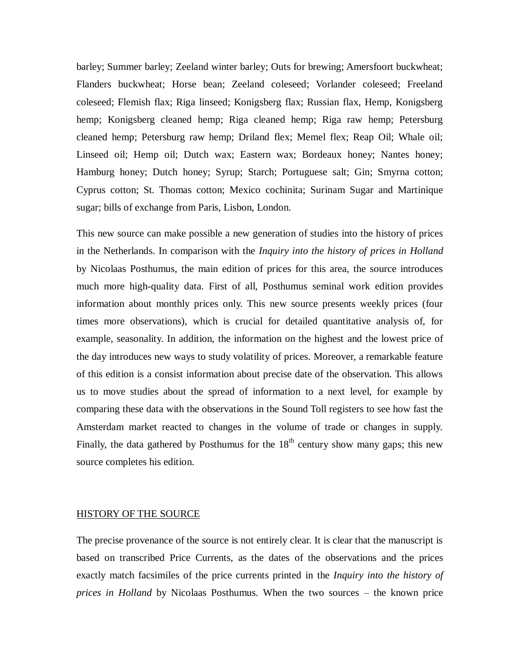barley; Summer barley; Zeeland winter barley; Outs for brewing; Amersfoort buckwheat; Flanders buckwheat; Horse bean; Zeeland coleseed; Vorlander coleseed; Freeland coleseed; Flemish flax; Riga linseed; Konigsberg flax; Russian flax, Hemp, Konigsberg hemp; Konigsberg cleaned hemp; Riga cleaned hemp; Riga raw hemp; Petersburg cleaned hemp; Petersburg raw hemp; Driland flex; Memel flex; Reap Oil; Whale oil; Linseed oil; Hemp oil; Dutch wax; Eastern wax; Bordeaux honey; Nantes honey; Hamburg honey; Dutch honey; Syrup; Starch; Portuguese salt; Gin; Smyrna cotton; Cyprus cotton; St. Thomas cotton; Mexico cochinita; Surinam Sugar and Martinique sugar; bills of exchange from Paris, Lisbon, London.

This new source can make possible a new generation of studies into the history of prices in the Netherlands. In comparison with the *Inquiry into the history of prices in Holland* by Nicolaas Posthumus, the main edition of prices for this area, the source introduces much more high-quality data. First of all, Posthumus seminal work edition provides information about monthly prices only. This new source presents weekly prices (four times more observations), which is crucial for detailed quantitative analysis of, for example, seasonality. In addition, the information on the highest and the lowest price of the day introduces new ways to study volatility of prices. Moreover, a remarkable feature of this edition is a consist information about precise date of the observation. This allows us to move studies about the spread of information to a next level, for example by comparing these data with the observations in the Sound Toll registers to see how fast the Amsterdam market reacted to changes in the volume of trade or changes in supply. Finally, the data gathered by Posthumus for the  $18<sup>th</sup>$  century show many gaps; this new source completes his edition.

#### HISTORY OF THE SOURCE

The precise provenance of the source is not entirely clear. It is clear that the manuscript is based on transcribed Price Currents, as the dates of the observations and the prices exactly match facsimiles of the price currents printed in the *Inquiry into the history of prices in Holland* by Nicolaas Posthumus. When the two sources – the known price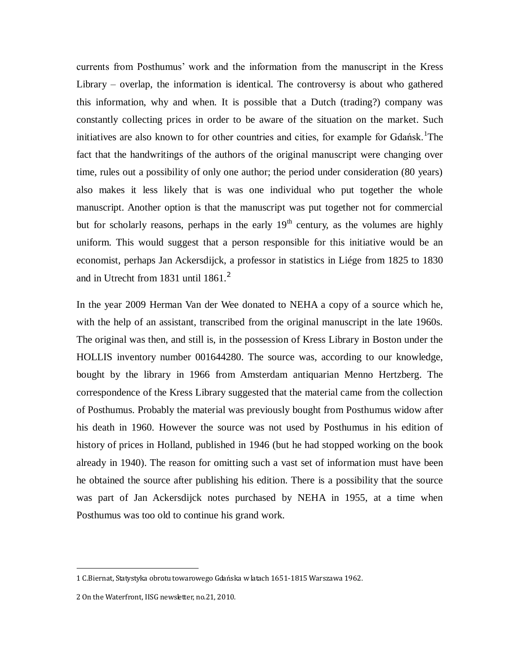currents from Posthumus' work and the information from the manuscript in the Kress Library – overlap, the information is identical. The controversy is about who gathered this information, why and when. It is possible that a Dutch (trading?) company was constantly collecting prices in order to be aware of the situation on the market. Such initiatives are also known to for other countries and cities, for example for Gdańsk.<sup>1</sup>The fact that the handwritings of the authors of the original manuscript were changing over time, rules out a possibility of only one author; the period under consideration (80 years) also makes it less likely that is was one individual who put together the whole manuscript. Another option is that the manuscript was put together not for commercial but for scholarly reasons, perhaps in the early  $19<sup>th</sup>$  century, as the volumes are highly uniform. This would suggest that a person responsible for this initiative would be an economist, perhaps Jan Ackersdijck, a professor in statistics in Liége from 1825 to 1830 and in Utrecht from 1831 until 1861.<sup>2</sup>

In the year 2009 Herman Van der Wee donated to NEHA a copy of a source which he, with the help of an assistant, transcribed from the original manuscript in the late 1960s. The original was then, and still is, in the possession of Kress Library in Boston under the HOLLIS inventory number 001644280. The source was, according to our knowledge, bought by the library in 1966 from Amsterdam antiquarian Menno Hertzberg. The correspondence of the Kress Library suggested that the material came from the collection of Posthumus. Probably the material was previously bought from Posthumus widow after his death in 1960. However the source was not used by Posthumus in his edition of history of prices in Holland, published in 1946 (but he had stopped working on the book already in 1940). The reason for omitting such a vast set of information must have been he obtained the source after publishing his edition. There is a possibility that the source was part of Jan Ackersdijck notes purchased by NEHA in 1955, at a time when Posthumus was too old to continue his grand work.

 $\overline{a}$ 

<sup>1</sup> C.Biernat, Statystyka obrotu towarowego Gdańska w latach 1651-1815 Warszawa 1962.

<sup>2</sup> On the Waterfront, IISG newsletter, no.21, 2010.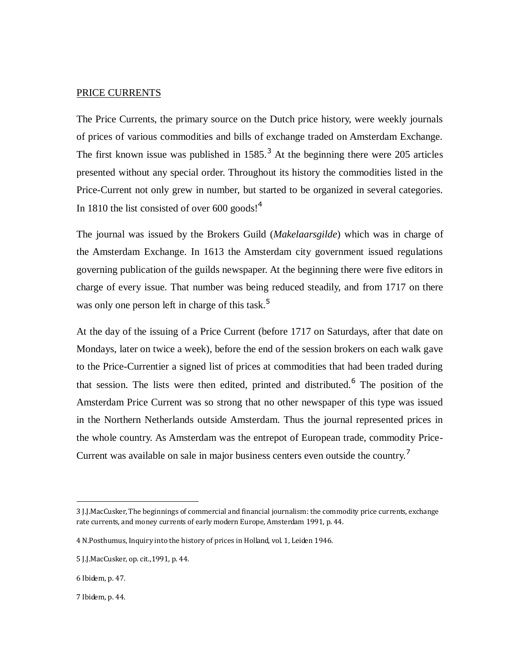### PRICE CURRENTS

The Price Currents, the primary source on the Dutch price history, were weekly journals of prices of various commodities and bills of exchange traded on Amsterdam Exchange. The first known issue was published in  $1585$ .<sup>3</sup> At the beginning there were 205 articles presented without any special order. Throughout its history the commodities listed in the Price-Current not only grew in number, but started to be organized in several categories. In 1810 the list consisted of over  $600 \text{ goods!}^4$ 

The journal was issued by the Brokers Guild (*Makelaarsgilde*) which was in charge of the Amsterdam Exchange. In 1613 the Amsterdam city government issued regulations governing publication of the guilds newspaper. At the beginning there were five editors in charge of every issue. That number was being reduced steadily, and from 1717 on there was only one person left in charge of this task.<sup>5</sup>

At the day of the issuing of a Price Current (before 1717 on Saturdays, after that date on Mondays, later on twice a week), before the end of the session brokers on each walk gave to the Price-Currentier a signed list of prices at commodities that had been traded during that session. The lists were then edited, printed and distributed. <sup>6</sup> The position of the Amsterdam Price Current was so strong that no other newspaper of this type was issued in the Northern Netherlands outside Amsterdam. Thus the journal represented prices in the whole country. As Amsterdam was the entrepot of European trade, commodity Price-Current was available on sale in major business centers even outside the country.<sup>7</sup>

 $\overline{a}$ 

<sup>3</sup> J.J.MacCusker, The beginnings of commercial and financial journalism: the commodity price currents, exchange rate currents, and money currents of early modern Europe, Amsterdam 1991, p. 44.

<sup>4</sup> N.Posthumus, Inquiry into the history of prices in Holland, vol. 1, Leiden 1946.

<sup>5</sup> J.J.MacCusker, op. cit.,1991, p. 44.

<sup>6</sup> Ibidem, p. 47.

<sup>7</sup> Ibidem, p. 44.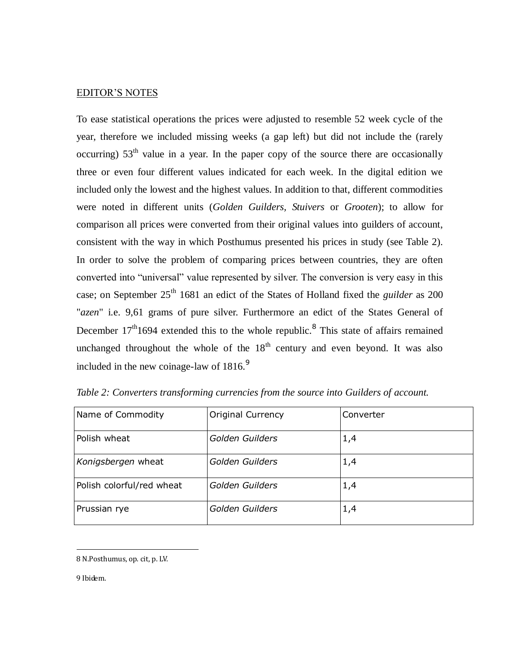### EDITOR'S NOTES

To ease statistical operations the prices were adjusted to resemble 52 week cycle of the year, therefore we included missing weeks (a gap left) but did not include the (rarely occurring)  $53<sup>th</sup>$  value in a year. In the paper copy of the source there are occasionally three or even four different values indicated for each week. In the digital edition we included only the lowest and the highest values. In addition to that, different commodities were noted in different units (*Golden Guilders, Stuivers* or *Grooten*); to allow for comparison all prices were converted from their original values into guilders of account, consistent with the way in which Posthumus presented his prices in study (see Table 2). In order to solve the problem of comparing prices between countries, they are often converted into "universal" value represented by silver. The conversion is very easy in this case; on September 25<sup>th</sup> 1681 an edict of the States of Holland fixed the *guilder* as 200 "*azen*" i.e. 9,61 grams of pure silver. Furthermore an edict of the States General of December  $17<sup>th</sup>1694$  extended this to the whole republic.<sup>8</sup> This state of affairs remained unchanged throughout the whole of the  $18<sup>th</sup>$  century and even beyond. It was also included in the new coinage-law of  $1816$ .<sup>9</sup>

| Name of Commodity         | <b>Original Currency</b> | Converter |
|---------------------------|--------------------------|-----------|
| Polish wheat              | Golden Guilders          | 1,4       |
| Konigsbergen wheat        | Golden Guilders          | 1,4       |
| Polish colorful/red wheat | Golden Guilders          | 1,4       |
| Prussian rye              | Golden Guilders          | 1,4       |

*Table 2: Converters transforming currencies from the source into Guilders of account.*

9 Ibidem.

 $\overline{a}$ 

<sup>8</sup> N.Posthumus, op. cit, p. LV.